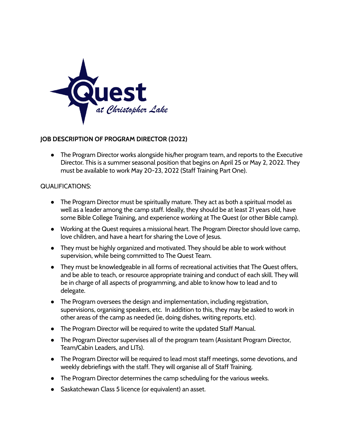

## **JOB DESCRIPTION OF PROGRAM DIRECTOR (2022)**

● The Program Director works alongside his/her program team, and reports to the Executive Director. This is a summer seasonal position that begins on April 25 or May 2, 2022. They must be available to work May 20-23, 2022 (Staff Training Part One).

## QUALIFICATIONS:

- The Program Director must be spiritually mature. They act as both a spiritual model as well as a leader among the camp staff. Ideally, they should be at least 21 years old, have some Bible College Training, and experience working at The Quest (or other Bible camp).
- Working at the Quest requires a missional heart. The Program Director should love camp, love children, and have a heart for sharing the Love of Jesus.
- They must be highly organized and motivated. They should be able to work without supervision, while being committed to The Quest Team.
- They must be knowledgeable in all forms of recreational activities that The Quest offers, and be able to teach, or resource appropriate training and conduct of each skill. They will be in charge of all aspects of programming, and able to know how to lead and to delegate.
- The Program oversees the design and implementation, including registration, supervisions, organising speakers, etc. In addition to this, they may be asked to work in other areas of the camp as needed (ie, doing dishes, writing reports, etc).
- The Program Director will be required to write the updated Staff Manual.
- The Program Director supervises all of the program team (Assistant Program Director, Team/Cabin Leaders, and LITs).
- The Program Director will be required to lead most staff meetings, some devotions, and weekly debriefings with the staff. They will organise all of Staff Training.
- The Program Director determines the camp scheduling for the various weeks.
- Saskatchewan Class 5 licence (or equivalent) an asset.